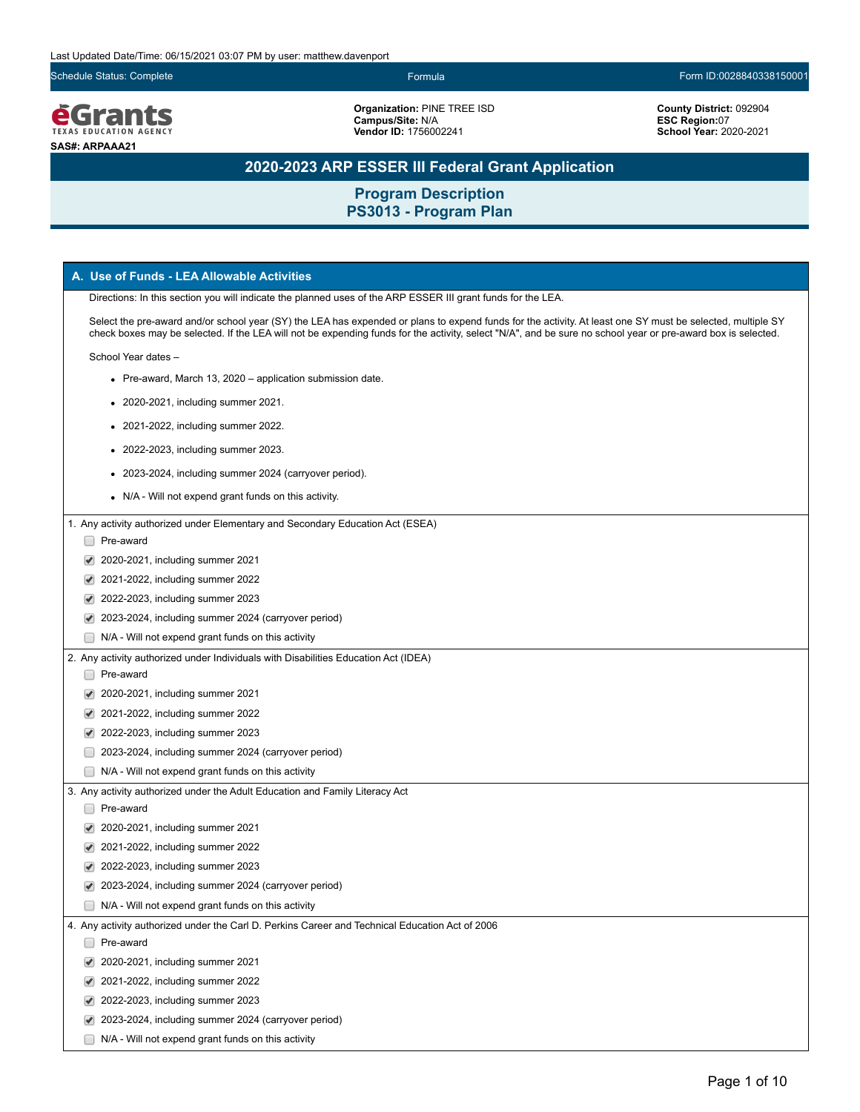Schedule Status: Complete Formula Form ID:0028840338150001



**Organization:** PINE TREE ISD **Campus/Site:** N/A **Vendor ID:** 1756002241

**County District:** 092904 **ESC Region:**07 **School Year:** 2020-2021

# **2020-2023 ARP ESSER III Federal Grant Application**

| A. Use of Funds - LEA Allowable Activities                                                                                                                                                                                                                                                                                 |
|----------------------------------------------------------------------------------------------------------------------------------------------------------------------------------------------------------------------------------------------------------------------------------------------------------------------------|
| Directions: In this section you will indicate the planned uses of the ARP ESSER III grant funds for the LEA.                                                                                                                                                                                                               |
| Select the pre-award and/or school year (SY) the LEA has expended or plans to expend funds for the activity. At least one SY must be selected, multiple SY<br>check boxes may be selected. If the LEA will not be expending funds for the activity, select "N/A", and be sure no school year or pre-award box is selected. |
| School Year dates -                                                                                                                                                                                                                                                                                                        |
| • Pre-award, March 13, 2020 – application submission date.                                                                                                                                                                                                                                                                 |
| • 2020-2021, including summer 2021.                                                                                                                                                                                                                                                                                        |
| • 2021-2022, including summer 2022.                                                                                                                                                                                                                                                                                        |
|                                                                                                                                                                                                                                                                                                                            |
| • 2022-2023, including summer 2023.                                                                                                                                                                                                                                                                                        |
| • 2023-2024, including summer 2024 (carryover period).                                                                                                                                                                                                                                                                     |
| • N/A - Will not expend grant funds on this activity.                                                                                                                                                                                                                                                                      |
| 1. Any activity authorized under Elementary and Secondary Education Act (ESEA)                                                                                                                                                                                                                                             |
| Pre-award                                                                                                                                                                                                                                                                                                                  |
| 2020-2021, including summer 2021                                                                                                                                                                                                                                                                                           |
| 2021-2022, including summer 2022<br>✔                                                                                                                                                                                                                                                                                      |
| 2022-2023, including summer 2023                                                                                                                                                                                                                                                                                           |
| 2023-2024, including summer 2024 (carryover period)                                                                                                                                                                                                                                                                        |
| N/A - Will not expend grant funds on this activity                                                                                                                                                                                                                                                                         |
| 2. Any activity authorized under Individuals with Disabilities Education Act (IDEA)                                                                                                                                                                                                                                        |
| Pre-award                                                                                                                                                                                                                                                                                                                  |
| 2020-2021, including summer 2021                                                                                                                                                                                                                                                                                           |
| 2021-2022, including summer 2022<br>✔                                                                                                                                                                                                                                                                                      |
| 2022-2023, including summer 2023<br>✔                                                                                                                                                                                                                                                                                      |
| 2023-2024, including summer 2024 (carryover period)                                                                                                                                                                                                                                                                        |
| N/A - Will not expend grant funds on this activity                                                                                                                                                                                                                                                                         |
| 3. Any activity authorized under the Adult Education and Family Literacy Act                                                                                                                                                                                                                                               |
| Pre-award                                                                                                                                                                                                                                                                                                                  |
| 2020-2021, including summer 2021                                                                                                                                                                                                                                                                                           |
| 2021-2022, including summer 2022                                                                                                                                                                                                                                                                                           |
| 2022-2023, including summer 2023                                                                                                                                                                                                                                                                                           |
| 2023-2024, including summer 2024 (carryover period)                                                                                                                                                                                                                                                                        |
| N/A - Will not expend grant funds on this activity                                                                                                                                                                                                                                                                         |
| 4. Any activity authorized under the Carl D. Perkins Career and Technical Education Act of 2006                                                                                                                                                                                                                            |
| Pre-award                                                                                                                                                                                                                                                                                                                  |
| 2020-2021, including summer 2021<br>$\blacktriangledown$                                                                                                                                                                                                                                                                   |
| 2021-2022, including summer 2022                                                                                                                                                                                                                                                                                           |
| 2022-2023, including summer 2023                                                                                                                                                                                                                                                                                           |
| 2023-2024, including summer 2024 (carryover period)<br>✔                                                                                                                                                                                                                                                                   |
| N/A - Will not expend grant funds on this activity                                                                                                                                                                                                                                                                         |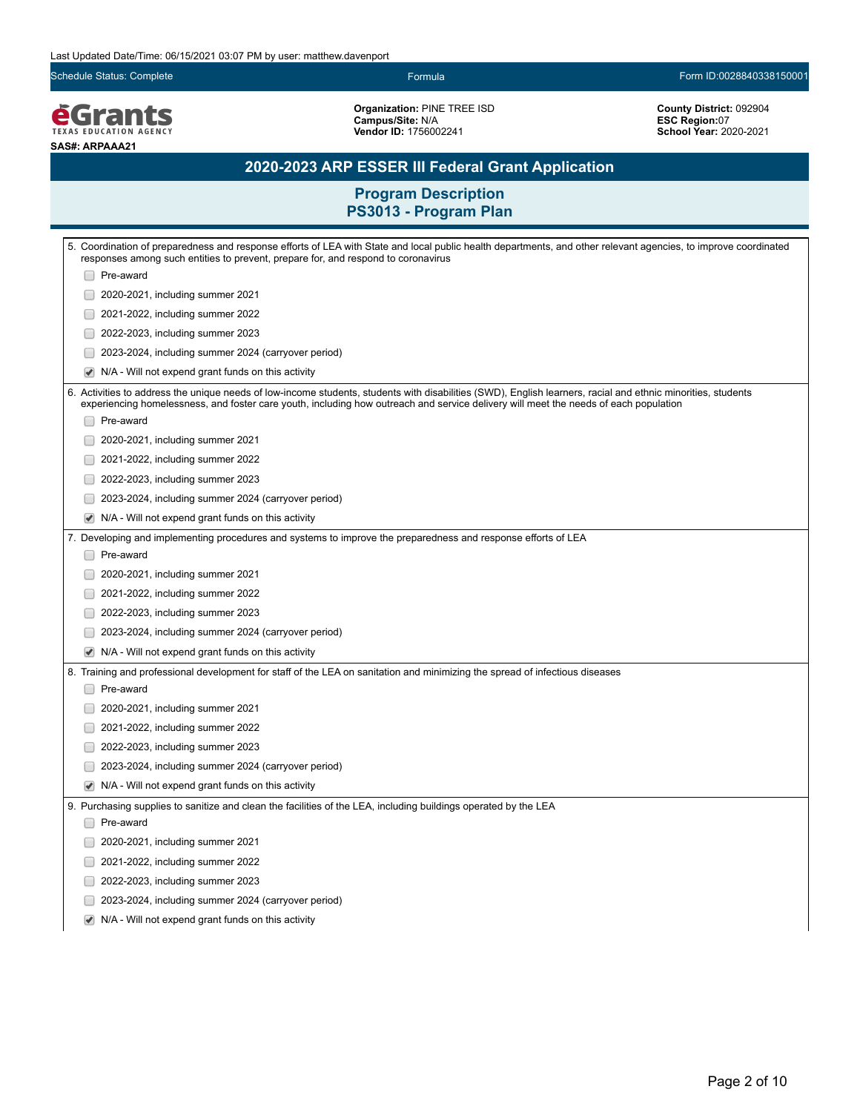Schedule Status: Complete Formula Form ID:0028840338150001

*<u>EGrants</u>* **SAS#: ARPAAA21**

**Organization:** PINE TREE ISD **Campus/Site:** N/A **Vendor ID:** 1756002241

**County District:** 092904 **ESC Region:**07 **School Year:** 2020-2021

# **2020-2023 ARP ESSER III Federal Grant Application**

| 5. Coordination of preparedness and response efforts of LEA with State and local public health departments, and other relevant agencies, to improve coordinated<br>responses among such entities to prevent, prepare for, and respond to coronavirus                                                 |
|------------------------------------------------------------------------------------------------------------------------------------------------------------------------------------------------------------------------------------------------------------------------------------------------------|
| Pre-award                                                                                                                                                                                                                                                                                            |
| 2020-2021, including summer 2021                                                                                                                                                                                                                                                                     |
| 2021-2022, including summer 2022                                                                                                                                                                                                                                                                     |
| 2022-2023, including summer 2023                                                                                                                                                                                                                                                                     |
| 2023-2024, including summer 2024 (carryover period)                                                                                                                                                                                                                                                  |
| ✔<br>N/A - Will not expend grant funds on this activity                                                                                                                                                                                                                                              |
| 6. Activities to address the unique needs of low-income students, students with disabilities (SWD), English learners, racial and ethnic minorities, students<br>experiencing homelessness, and foster care youth, including how outreach and service delivery will meet the needs of each population |
| Pre-award                                                                                                                                                                                                                                                                                            |
| 2020-2021, including summer 2021                                                                                                                                                                                                                                                                     |
| 2021-2022, including summer 2022                                                                                                                                                                                                                                                                     |
| 2022-2023, including summer 2023                                                                                                                                                                                                                                                                     |
| 2023-2024, including summer 2024 (carryover period)                                                                                                                                                                                                                                                  |
| N/A - Will not expend grant funds on this activity<br>$\blacktriangledown$                                                                                                                                                                                                                           |
| 7. Developing and implementing procedures and systems to improve the preparedness and response efforts of LEA                                                                                                                                                                                        |
| Pre-award                                                                                                                                                                                                                                                                                            |
| 2020-2021, including summer 2021                                                                                                                                                                                                                                                                     |
| 2021-2022, including summer 2022                                                                                                                                                                                                                                                                     |
| 2022-2023, including summer 2023                                                                                                                                                                                                                                                                     |
| 2023-2024, including summer 2024 (carryover period)                                                                                                                                                                                                                                                  |
| $\blacktriangledown$<br>N/A - Will not expend grant funds on this activity                                                                                                                                                                                                                           |
| 8. Training and professional development for staff of the LEA on sanitation and minimizing the spread of infectious diseases                                                                                                                                                                         |
| Pre-award                                                                                                                                                                                                                                                                                            |
| 2020-2021, including summer 2021                                                                                                                                                                                                                                                                     |
| 2021-2022, including summer 2022                                                                                                                                                                                                                                                                     |
| 2022-2023, including summer 2023                                                                                                                                                                                                                                                                     |
| 2023-2024, including summer 2024 (carryover period)                                                                                                                                                                                                                                                  |
| N/A - Will not expend grant funds on this activity<br>$\blacktriangledown$                                                                                                                                                                                                                           |
| 9. Purchasing supplies to sanitize and clean the facilities of the LEA, including buildings operated by the LEA                                                                                                                                                                                      |
| Pre-award                                                                                                                                                                                                                                                                                            |
| 2020-2021, including summer 2021                                                                                                                                                                                                                                                                     |
| 2021-2022, including summer 2022                                                                                                                                                                                                                                                                     |
| 2022-2023, including summer 2023                                                                                                                                                                                                                                                                     |
| 2023-2024, including summer 2024 (carryover period)                                                                                                                                                                                                                                                  |
| N/A - Will not expend grant funds on this activity<br>$\blacktriangledown$                                                                                                                                                                                                                           |
|                                                                                                                                                                                                                                                                                                      |
|                                                                                                                                                                                                                                                                                                      |
|                                                                                                                                                                                                                                                                                                      |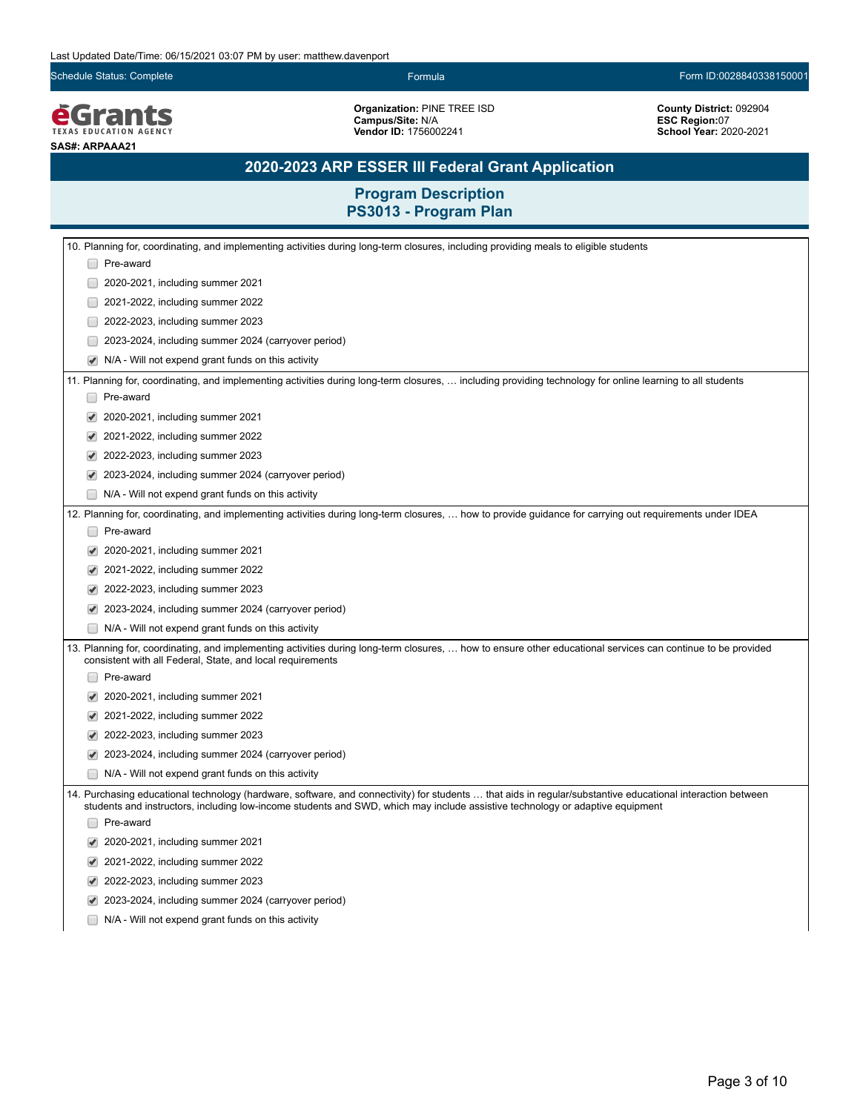Schedule Status: Complete Formula Form ID:0028840338150001

*<u>EGrants</u>* **SAS#: ARPAAA21**

**Organization:** PINE TREE ISD **Campus/Site:** N/A **Vendor ID:** 1756002241

**County District:** 092904 **ESC Region:**07 **School Year:** 2020-2021

# **2020-2023 ARP ESSER III Federal Grant Application**

| 10. Planning for, coordinating, and implementing activities during long-term closures, including providing meals to eligible students                                                                                                                                                        |  |
|----------------------------------------------------------------------------------------------------------------------------------------------------------------------------------------------------------------------------------------------------------------------------------------------|--|
| Pre-award                                                                                                                                                                                                                                                                                    |  |
| 2020-2021, including summer 2021                                                                                                                                                                                                                                                             |  |
| 2021-2022, including summer 2022                                                                                                                                                                                                                                                             |  |
| 2022-2023, including summer 2023                                                                                                                                                                                                                                                             |  |
| 2023-2024, including summer 2024 (carryover period)                                                                                                                                                                                                                                          |  |
| N/A - Will not expend grant funds on this activity                                                                                                                                                                                                                                           |  |
| 11. Planning for, coordinating, and implementing activities during long-term closures,  including providing technology for online learning to all students                                                                                                                                   |  |
| Pre-award                                                                                                                                                                                                                                                                                    |  |
| 2020-2021, including summer 2021                                                                                                                                                                                                                                                             |  |
| 2021-2022, including summer 2022                                                                                                                                                                                                                                                             |  |
| 2022-2023, including summer 2023                                                                                                                                                                                                                                                             |  |
| 2023-2024, including summer 2024 (carryover period)                                                                                                                                                                                                                                          |  |
| N/A - Will not expend grant funds on this activity                                                                                                                                                                                                                                           |  |
| 12. Planning for, coordinating, and implementing activities during long-term closures,  how to provide guidance for carrying out requirements under IDEA                                                                                                                                     |  |
| Pre-award                                                                                                                                                                                                                                                                                    |  |
| 2020-2021, including summer 2021                                                                                                                                                                                                                                                             |  |
| 2021-2022, including summer 2022                                                                                                                                                                                                                                                             |  |
| 2022-2023, including summer 2023                                                                                                                                                                                                                                                             |  |
| 2023-2024, including summer 2024 (carryover period)                                                                                                                                                                                                                                          |  |
| N/A - Will not expend grant funds on this activity                                                                                                                                                                                                                                           |  |
| 13. Planning for, coordinating, and implementing activities during long-term closures,  how to ensure other educational services can continue to be provided<br>consistent with all Federal, State, and local requirements                                                                   |  |
| Pre-award                                                                                                                                                                                                                                                                                    |  |
| 2020-2021, including summer 2021                                                                                                                                                                                                                                                             |  |
| 2021-2022, including summer 2022                                                                                                                                                                                                                                                             |  |
| 2022-2023, including summer 2023                                                                                                                                                                                                                                                             |  |
| 2023-2024, including summer 2024 (carryover period)                                                                                                                                                                                                                                          |  |
| N/A - Will not expend grant funds on this activity                                                                                                                                                                                                                                           |  |
| 14. Purchasing educational technology (hardware, software, and connectivity) for students  that aids in regular/substantive educational interaction between<br>students and instructors, including low-income students and SWD, which may include assistive technology or adaptive equipment |  |
| Pre-award                                                                                                                                                                                                                                                                                    |  |
| 2020-2021, including summer 2021                                                                                                                                                                                                                                                             |  |
| 2021-2022, including summer 2022                                                                                                                                                                                                                                                             |  |
| 2022-2023, including summer 2023                                                                                                                                                                                                                                                             |  |
| 2023-2024, including summer 2024 (carryover period)                                                                                                                                                                                                                                          |  |
| N/A - Will not expend grant funds on this activity                                                                                                                                                                                                                                           |  |
|                                                                                                                                                                                                                                                                                              |  |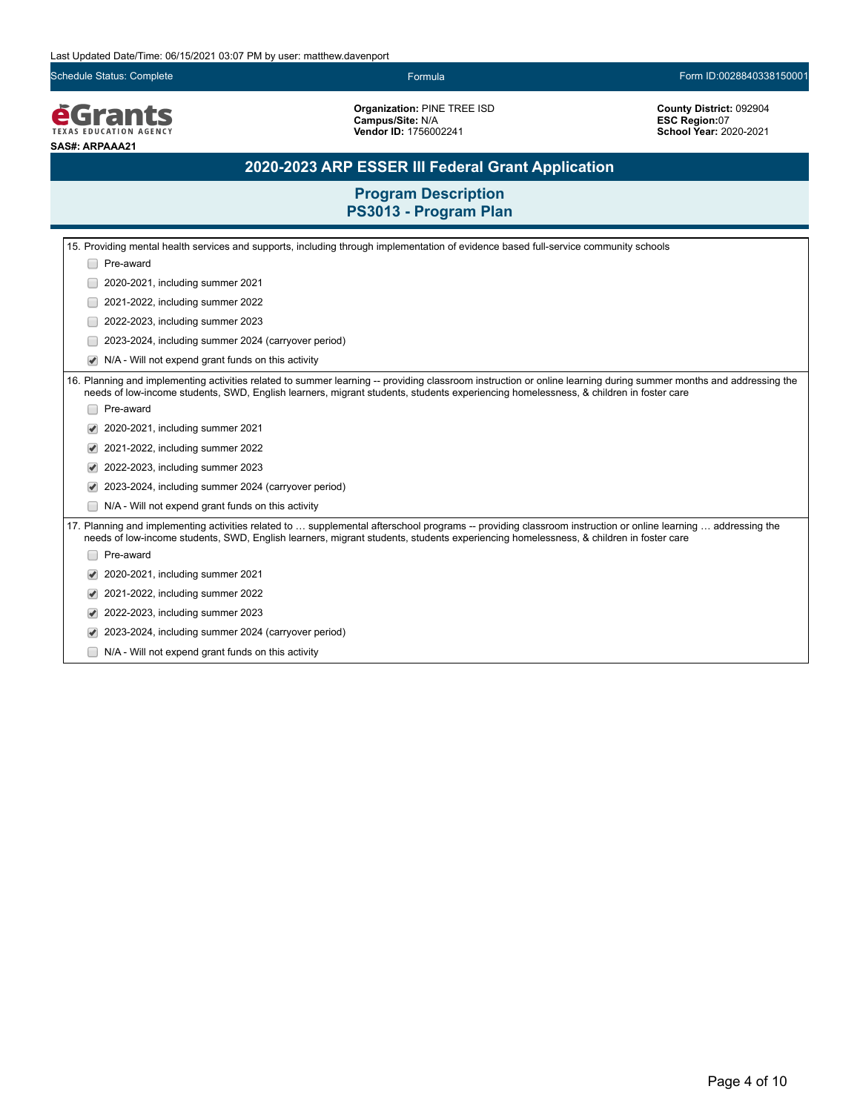Schedule Status: Complete Formula Form ID:0028840338150001

**EGrants SAS#: ARPAAA21**

**Organization:** PINE TREE ISD **Campus/Site:** N/A **Vendor ID:** 1756002241

**County District:** 092904 **ESC Region:**07 **School Year:** 2020-2021

# **2020-2023 ARP ESSER III Federal Grant Application**

|  | 15. Providing mental health services and supports, including through implementation of evidence based full-service community schools                                                                                                                                                                      |
|--|-----------------------------------------------------------------------------------------------------------------------------------------------------------------------------------------------------------------------------------------------------------------------------------------------------------|
|  | Pre-award                                                                                                                                                                                                                                                                                                 |
|  | 2020-2021, including summer 2021                                                                                                                                                                                                                                                                          |
|  | 2021-2022, including summer 2022                                                                                                                                                                                                                                                                          |
|  | 2022-2023, including summer 2023                                                                                                                                                                                                                                                                          |
|  | 2023-2024, including summer 2024 (carryover period)                                                                                                                                                                                                                                                       |
|  | N/A - Will not expend grant funds on this activity                                                                                                                                                                                                                                                        |
|  | 16. Planning and implementing activities related to summer learning -- providing classroom instruction or online learning during summer months and addressing the<br>needs of low-income students, SWD, English learners, migrant students, students experiencing homelessness, & children in foster care |
|  | Pre-award                                                                                                                                                                                                                                                                                                 |
|  | 2020-2021, including summer 2021                                                                                                                                                                                                                                                                          |
|  | 2021-2022, including summer 2022                                                                                                                                                                                                                                                                          |
|  | 2022-2023, including summer 2023                                                                                                                                                                                                                                                                          |
|  | 2023-2024, including summer 2024 (carryover period)                                                                                                                                                                                                                                                       |
|  | N/A - Will not expend grant funds on this activity                                                                                                                                                                                                                                                        |
|  | 17. Planning and implementing activities related to  supplemental afterschool programs -- providing classroom instruction or online learning  addressing the<br>needs of low-income students, SWD, English learners, migrant students, students experiencing homelessness, & children in foster care      |
|  | Pre-award                                                                                                                                                                                                                                                                                                 |
|  | 2020-2021, including summer 2021                                                                                                                                                                                                                                                                          |
|  | 2021-2022, including summer 2022                                                                                                                                                                                                                                                                          |
|  | 2022-2023, including summer 2023                                                                                                                                                                                                                                                                          |
|  | 2023-2024, including summer 2024 (carryover period)                                                                                                                                                                                                                                                       |
|  | N/A - Will not expend grant funds on this activity                                                                                                                                                                                                                                                        |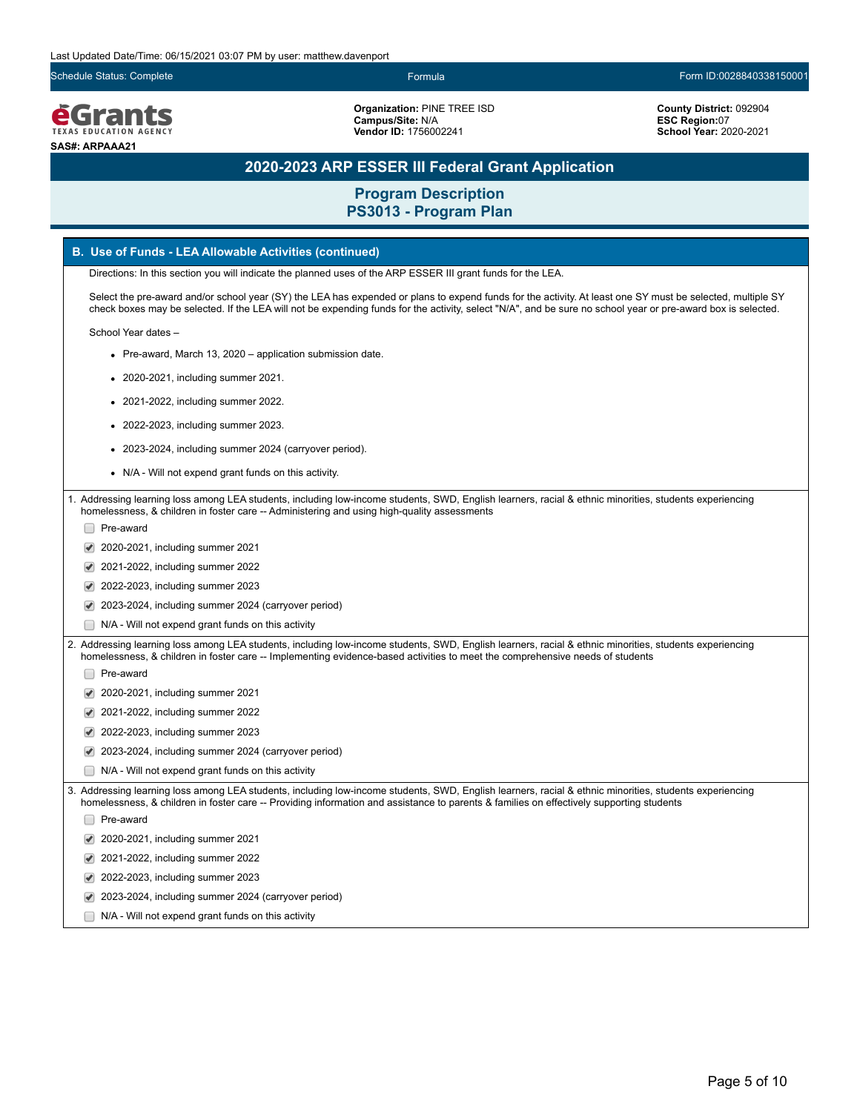Schedule Status: Complete Formula Form ID:0028840338150001

**é**Grants **EXAS EDUCATION AGEN SAS#: ARPAAA21**

**Organization:** PINE TREE ISD **Campus/Site:** N/A **Vendor ID:** 1756002241

**County District:** 092904 **ESC Region:**07 **School Year:** 2020-2021

## **2020-2023 ARP ESSER III Federal Grant Application**

**Program Description PS3013 - Program Plan**

### **B. Use of Funds - LEA Allowable Activities (continued)**

Directions: In this section you will indicate the planned uses of the ARP ESSER III grant funds for the LEA.

Select the pre-award and/or school year (SY) the LEA has expended or plans to expend funds for the activity. At least one SY must be selected, multiple SY check boxes may be selected. If the LEA will not be expending funds for the activity, select "N/A", and be sure no school year or pre-award box is selected.

School Year dates –

- Pre-award, March 13, 2020 application submission date.
- 2020-2021, including summer 2021.
- 2021-2022, including summer 2022.
- 2022-2023, including summer 2023.
- 2023-2024, including summer 2024 (carryover period).
- N/A Will not expend grant funds on this activity.

1. Addressing learning loss among LEA students, including low-income students, SWD, English learners, racial & ethnic minorities, students experiencing homelessness, & children in foster care -- Administering and using high-quality assessments

- □ Pre-award
- 2020-2021, including summer 2021
- 2021-2022, including summer 2022
- 2022-2023, including summer 2023
- 2023-2024, including summer 2024 (carryover period)
- N/A Will not expend grant funds on this activity

2. Addressing learning loss among LEA students, including low-income students, SWD, English learners, racial & ethnic minorities, students experiencing homelessness, & children in foster care -- Implementing evidence-based activities to meet the comprehensive needs of students

- □ Pre-award
- 2020-2021, including summer 2021
- 2021-2022, including summer 2022
- 2022-2023, including summer 2023
- 2023-2024, including summer 2024 (carryover period)
- N/A Will not expend grant funds on this activity

3. Addressing learning loss among LEA students, including low-income students, SWD, English learners, racial & ethnic minorities, students experiencing homelessness, & children in foster care -- Providing information and assistance to parents & families on effectively supporting students

Pre-award

- 2020-2021, including summer 2021
- 2021-2022, including summer 2022
- 2022-2023, including summer 2023
- 2023-2024, including summer 2024 (carryover period)
- N/A Will not expend grant funds on this activity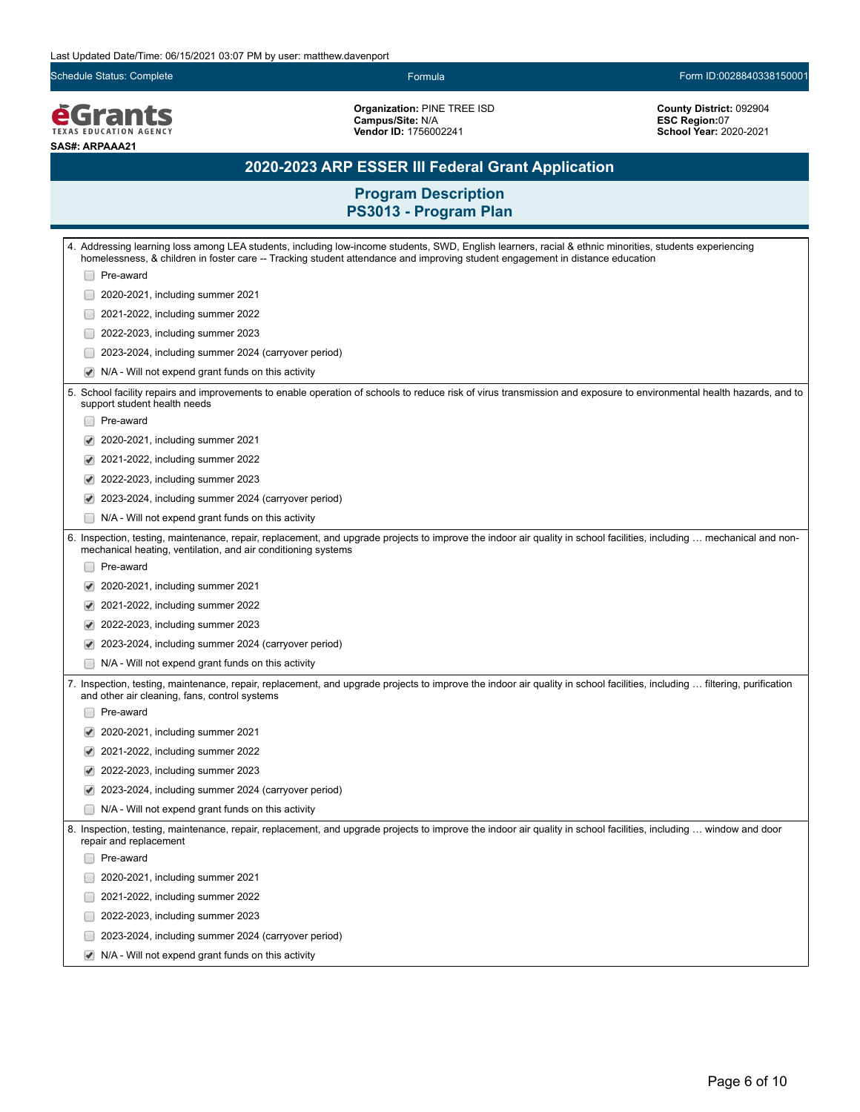Schedule Status: Complete Formula Form ID:0028840338150001

**EGrants SAS#: ARPAAA21**

**Organization:** PINE TREE ISD **Campus/Site:** N/A **Vendor ID:** 1756002241

**County District:** 092904 **ESC Region:**07 **School Year:** 2020-2021

# **2020-2023 ARP ESSER III Federal Grant Application**

|                                                                                                                                                                                                                                        |                      | 4. Addressing learning loss among LEA students, including low-income students, SWD, English learners, racial & ethnic minorities, students experiencing<br>homelessness, & children in foster care -- Tracking student attendance and improving student engagement in distance education |  |
|----------------------------------------------------------------------------------------------------------------------------------------------------------------------------------------------------------------------------------------|----------------------|------------------------------------------------------------------------------------------------------------------------------------------------------------------------------------------------------------------------------------------------------------------------------------------|--|
|                                                                                                                                                                                                                                        |                      | Pre-award                                                                                                                                                                                                                                                                                |  |
|                                                                                                                                                                                                                                        |                      | 2020-2021, including summer 2021                                                                                                                                                                                                                                                         |  |
|                                                                                                                                                                                                                                        |                      | 2021-2022, including summer 2022                                                                                                                                                                                                                                                         |  |
|                                                                                                                                                                                                                                        |                      | 2022-2023, including summer 2023                                                                                                                                                                                                                                                         |  |
|                                                                                                                                                                                                                                        |                      | 2023-2024, including summer 2024 (carryover period)                                                                                                                                                                                                                                      |  |
|                                                                                                                                                                                                                                        | $\blacktriangledown$ | N/A - Will not expend grant funds on this activity                                                                                                                                                                                                                                       |  |
|                                                                                                                                                                                                                                        |                      | 5. School facility repairs and improvements to enable operation of schools to reduce risk of virus transmission and exposure to environmental health hazards, and to<br>support student health needs                                                                                     |  |
|                                                                                                                                                                                                                                        |                      | Pre-award                                                                                                                                                                                                                                                                                |  |
|                                                                                                                                                                                                                                        |                      | 2020-2021, including summer 2021                                                                                                                                                                                                                                                         |  |
|                                                                                                                                                                                                                                        |                      | 2021-2022, including summer 2022                                                                                                                                                                                                                                                         |  |
|                                                                                                                                                                                                                                        |                      | 2022-2023, including summer 2023                                                                                                                                                                                                                                                         |  |
|                                                                                                                                                                                                                                        |                      | 2023-2024, including summer 2024 (carryover period)                                                                                                                                                                                                                                      |  |
|                                                                                                                                                                                                                                        |                      | N/A - Will not expend grant funds on this activity                                                                                                                                                                                                                                       |  |
| 6. Inspection, testing, maintenance, repair, replacement, and upgrade projects to improve the indoor air quality in school facilities, including  mechanical and non-<br>mechanical heating, ventilation, and air conditioning systems |                      |                                                                                                                                                                                                                                                                                          |  |
|                                                                                                                                                                                                                                        |                      | Pre-award                                                                                                                                                                                                                                                                                |  |
|                                                                                                                                                                                                                                        |                      | 2020-2021, including summer 2021                                                                                                                                                                                                                                                         |  |
|                                                                                                                                                                                                                                        |                      | 2021-2022, including summer 2022                                                                                                                                                                                                                                                         |  |
|                                                                                                                                                                                                                                        |                      | 2022-2023, including summer 2023                                                                                                                                                                                                                                                         |  |
|                                                                                                                                                                                                                                        |                      | 2023-2024, including summer 2024 (carryover period)                                                                                                                                                                                                                                      |  |
|                                                                                                                                                                                                                                        |                      | N/A - Will not expend grant funds on this activity                                                                                                                                                                                                                                       |  |
|                                                                                                                                                                                                                                        |                      | 7. Inspection, testing, maintenance, repair, replacement, and upgrade projects to improve the indoor air quality in school facilities, including … filtering, purification<br>and other air cleaning, fans, control systems                                                              |  |
|                                                                                                                                                                                                                                        |                      | Pre-award                                                                                                                                                                                                                                                                                |  |
|                                                                                                                                                                                                                                        | $\blacktriangledown$ | 2020-2021, including summer 2021                                                                                                                                                                                                                                                         |  |
|                                                                                                                                                                                                                                        | $\blacktriangledown$ | 2021-2022, including summer 2022                                                                                                                                                                                                                                                         |  |
|                                                                                                                                                                                                                                        |                      | 2022-2023, including summer 2023                                                                                                                                                                                                                                                         |  |
|                                                                                                                                                                                                                                        |                      | 2023-2024, including summer 2024 (carryover period)                                                                                                                                                                                                                                      |  |
|                                                                                                                                                                                                                                        |                      | N/A - Will not expend grant funds on this activity                                                                                                                                                                                                                                       |  |
|                                                                                                                                                                                                                                        |                      | 8. Inspection, testing, maintenance, repair, replacement, and upgrade projects to improve the indoor air quality in school facilities, including  window and door<br>repair and replacement                                                                                              |  |
|                                                                                                                                                                                                                                        |                      | Pre-award                                                                                                                                                                                                                                                                                |  |
|                                                                                                                                                                                                                                        |                      | 2020-2021, including summer 2021                                                                                                                                                                                                                                                         |  |
|                                                                                                                                                                                                                                        |                      | 2021-2022, including summer 2022                                                                                                                                                                                                                                                         |  |
|                                                                                                                                                                                                                                        |                      | 2022-2023, including summer 2023                                                                                                                                                                                                                                                         |  |
|                                                                                                                                                                                                                                        |                      | 2023-2024, including summer 2024 (carryover period)                                                                                                                                                                                                                                      |  |
|                                                                                                                                                                                                                                        |                      | N/A - Will not expend grant funds on this activity                                                                                                                                                                                                                                       |  |
|                                                                                                                                                                                                                                        |                      |                                                                                                                                                                                                                                                                                          |  |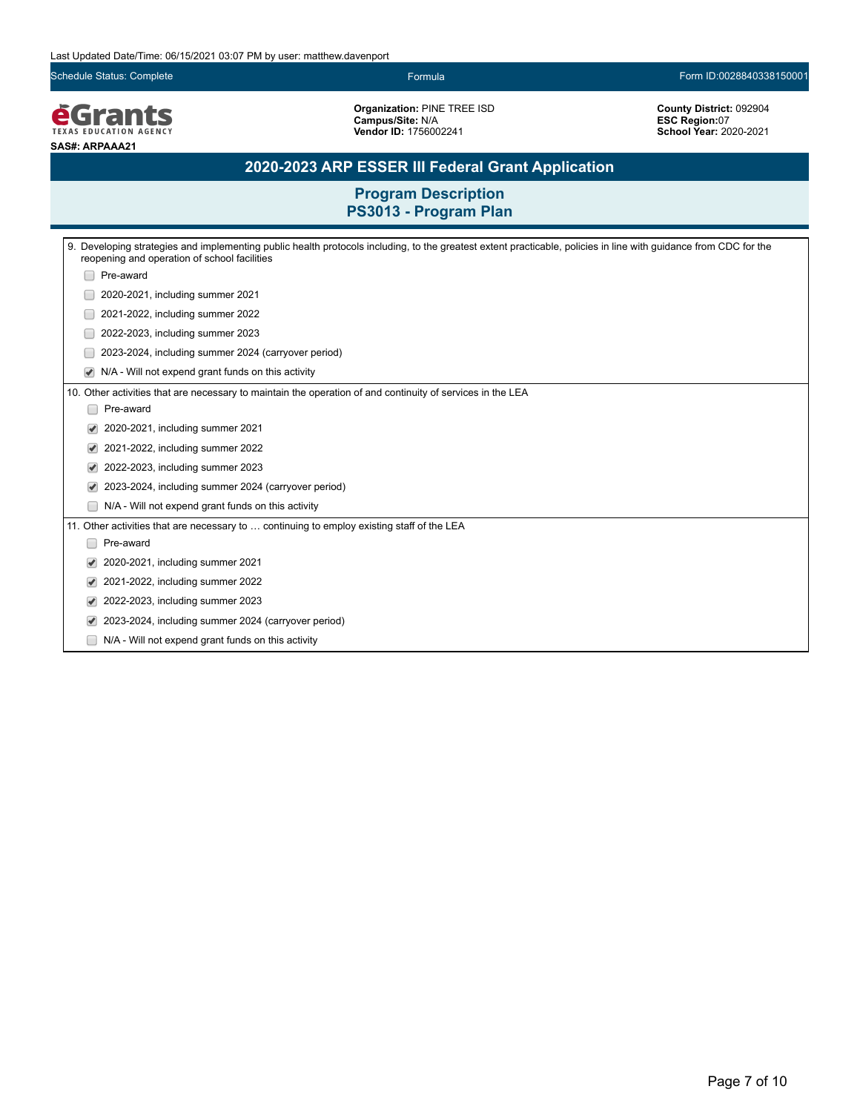Schedule Status: Complete Formula Form ID:0028840338150001

**EGrants SAS#: ARPAAA21**

**Organization:** PINE TREE ISD **Campus/Site:** N/A **Vendor ID:** 1756002241

**County District:** 092904 **ESC Region:**07 **School Year:** 2020-2021

# **2020-2023 ARP ESSER III Federal Grant Application**

|                                                                                            | 9. Developing strategies and implementing public health protocols including, to the greatest extent practicable, policies in line with guidance from CDC for the<br>reopening and operation of school facilities |  |  |  |
|--------------------------------------------------------------------------------------------|------------------------------------------------------------------------------------------------------------------------------------------------------------------------------------------------------------------|--|--|--|
|                                                                                            | Pre-award                                                                                                                                                                                                        |  |  |  |
|                                                                                            | 2020-2021, including summer 2021                                                                                                                                                                                 |  |  |  |
|                                                                                            | 2021-2022, including summer 2022                                                                                                                                                                                 |  |  |  |
|                                                                                            | 2022-2023, including summer 2023                                                                                                                                                                                 |  |  |  |
|                                                                                            | 2023-2024, including summer 2024 (carryover period)                                                                                                                                                              |  |  |  |
|                                                                                            | N/A - Will not expend grant funds on this activity                                                                                                                                                               |  |  |  |
|                                                                                            | 10. Other activities that are necessary to maintain the operation of and continuity of services in the LEA                                                                                                       |  |  |  |
|                                                                                            | Pre-award                                                                                                                                                                                                        |  |  |  |
|                                                                                            | 2020-2021, including summer 2021                                                                                                                                                                                 |  |  |  |
| V                                                                                          | 2021-2022, including summer 2022                                                                                                                                                                                 |  |  |  |
|                                                                                            | 2022-2023, including summer 2023                                                                                                                                                                                 |  |  |  |
|                                                                                            | 2023-2024, including summer 2024 (carryover period)                                                                                                                                                              |  |  |  |
|                                                                                            | N/A - Will not expend grant funds on this activity                                                                                                                                                               |  |  |  |
| 11. Other activities that are necessary to  continuing to employ existing staff of the LEA |                                                                                                                                                                                                                  |  |  |  |
|                                                                                            | Pre-award                                                                                                                                                                                                        |  |  |  |
|                                                                                            | 2020-2021, including summer 2021                                                                                                                                                                                 |  |  |  |
|                                                                                            | 2021-2022, including summer 2022                                                                                                                                                                                 |  |  |  |
|                                                                                            | 2022-2023, including summer 2023                                                                                                                                                                                 |  |  |  |
|                                                                                            | 2023-2024, including summer 2024 (carryover period)                                                                                                                                                              |  |  |  |
|                                                                                            | N/A - Will not expend grant funds on this activity                                                                                                                                                               |  |  |  |
|                                                                                            |                                                                                                                                                                                                                  |  |  |  |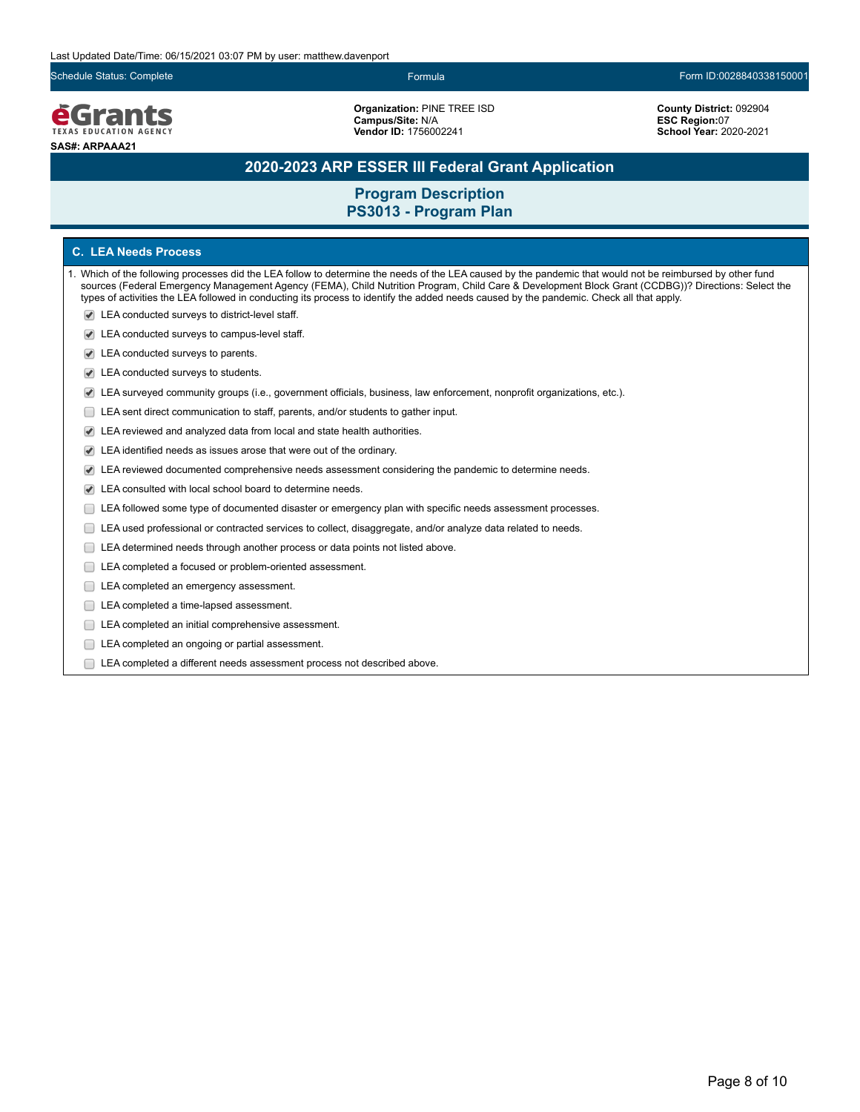**e**Grants **TEXAS EDUCATION AGENCY SAS#: ARPAAA21**

**Organization:** PINE TREE ISD **Campus/Site:** N/A **Vendor ID:** 1756002241

Schedule Status: Complete Formula Form ID:0028840338150001

**County District:** 092904 **ESC Region:**07 **School Year:** 2020-2021

## **2020-2023 ARP ESSER III Federal Grant Application**

## **Program Description PS3013 - Program Plan**

### **C. LEA Needs Process**

- 1. Which of the following processes did the LEA follow to determine the needs of the LEA caused by the pandemic that would not be reimbursed by other fund sources (Federal Emergency Management Agency (FEMA), Child Nutrition Program, Child Care & Development Block Grant (CCDBG))? Directions: Select the types of activities the LEA followed in conducting its process to identify the added needs caused by the pandemic. Check all that apply.
	- LEA conducted surveys to district-level staff.
	- LEA conducted surveys to campus-level staff.
	- LEA conducted surveys to parents.
	- LEA conducted surveys to students.
	- LEA surveyed community groups (i.e., government officials, business, law enforcement, nonprofit organizations, etc.).
	- LEA sent direct communication to staff, parents, and/or students to gather input.
	- LEA reviewed and analyzed data from local and state health authorities.
	- LEA identified needs as issues arose that were out of the ordinary.
	- LEA reviewed documented comprehensive needs assessment considering the pandemic to determine needs.
	- LEA consulted with local school board to determine needs.
	- LEA followed some type of documented disaster or emergency plan with specific needs assessment processes.
	- LEA used professional or contracted services to collect, disaggregate, and/or analyze data related to needs.
	- $\Box$ LEA determined needs through another process or data points not listed above.
	- LEA completed a focused or problem-oriented assessment.
	- LEA completed an emergency assessment.
	- LEA completed a time-lapsed assessment.
	- **LEA** completed an initial comprehensive assessment.
	- E LEA completed an ongoing or partial assessment.
	- LEA completed a different needs assessment process not described above.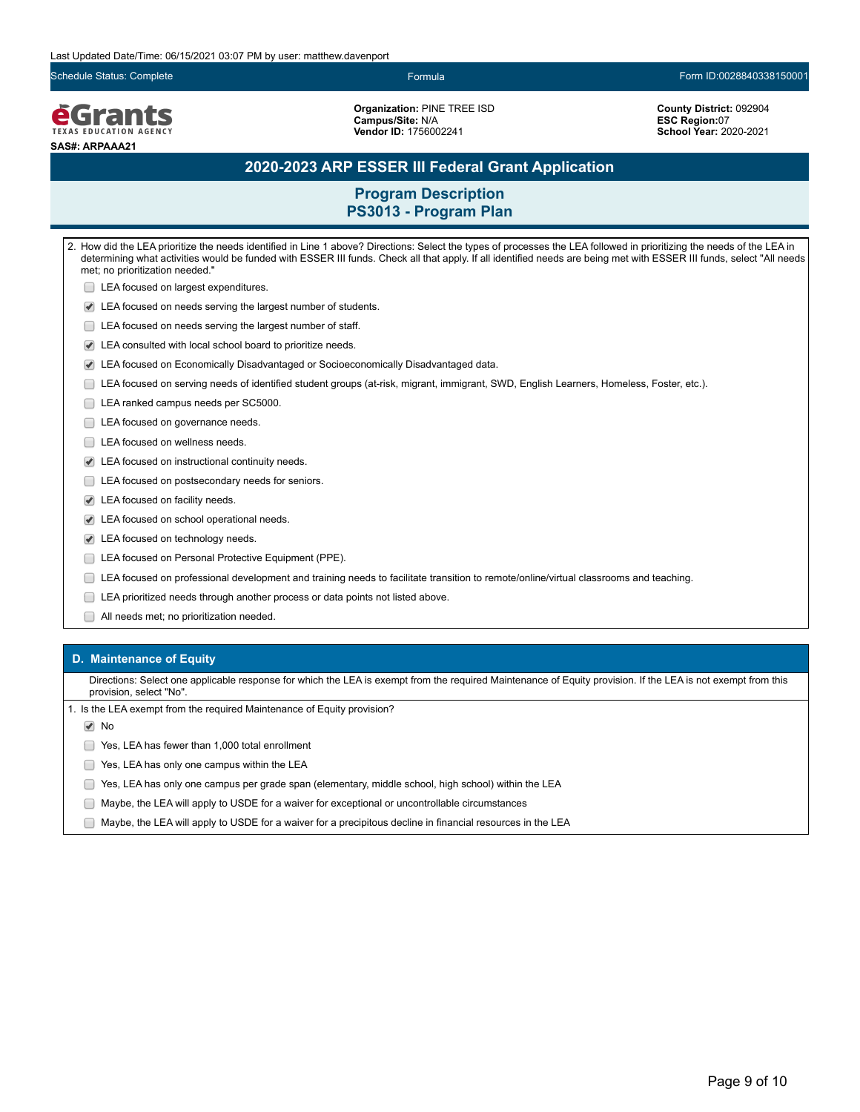Schedule Status: Complete Formula Form ID:0028840338150001

**e**Grants **TEXAS EDUCATION AGENCY SAS#: ARPAAA21**

**Organization:** PINE TREE ISD **Campus/Site:** N/A **Vendor ID:** 1756002241

**County District:** 092904 **ESC Region:**07 **School Year:** 2020-2021

## **2020-2023 ARP ESSER III Federal Grant Application**

## **Program Description PS3013 - Program Plan**

2. How did the LEA prioritize the needs identified in Line 1 above? Directions: Select the types of processes the LEA followed in prioritizing the needs of the LEA in determining what activities would be funded with ESSER III funds. Check all that apply. If all identified needs are being met with ESSER III funds, select "All needs met; no prioritization needed." **LEA** focused on largest expenditures. LEA focused on needs serving the largest number of students. **LEA** focused on needs serving the largest number of staff. LEA consulted with local school board to prioritize needs. LEA focused on Economically Disadvantaged or Socioeconomically Disadvantaged data. LEA focused on serving needs of identified student groups (at-risk, migrant, immigrant, SWD, English Learners, Homeless, Foster, etc.). LEA ranked campus needs per SC5000. LEA focused on governance needs. □ LEA focused on wellness needs. LEA focused on instructional continuity needs. **LEA** focused on postsecondary needs for seniors. LEA focused on facility needs. LEA focused on school operational needs. LEA focused on technology needs. **LEA focused on Personal Protective Equipment (PPE).** LEA focused on professional development and training needs to facilitate transition to remote/online/virtual classrooms and teaching. LEA prioritized needs through another process or data points not listed above. All needs met; no prioritization needed.

#### **D. Maintenance of Equity**

Directions: Select one applicable response for which the LEA is exempt from the required Maintenance of Equity provision. If the LEA is not exempt from this provision, select "No".

1. Is the LEA exempt from the required Maintenance of Equity provision?

**√** No

Yes, LEA has fewer than 1,000 total enrollment

- **The State State State State State State State State State State State State State State State State State State State State State State State State State State State State State State State State State State State State S**
- Yes, LEA has only one campus per grade span (elementary, middle school, high school) within the LEA
- Maybe, the LEA will apply to USDE for a waiver for exceptional or uncontrollable circumstances
- $\Box$  Maybe, the LEA will apply to USDE for a waiver for a precipitous decline in financial resources in the LEA